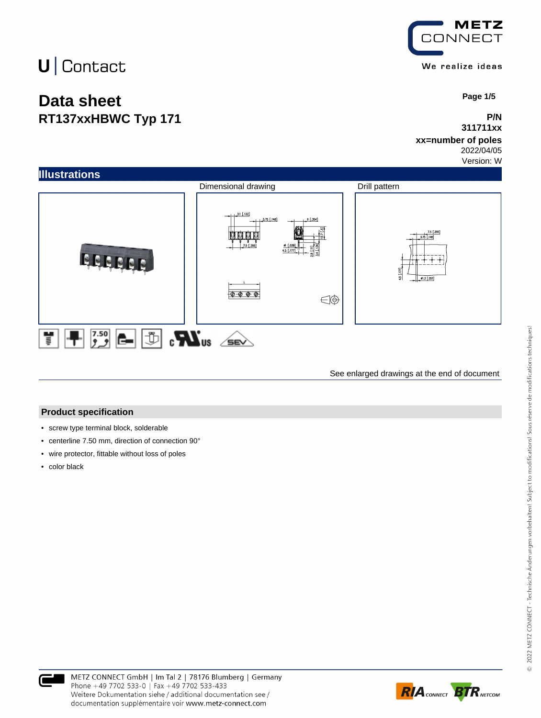## **Data sheet RT137xxHBWC Typ 171**



 **Page 1/5**

### **P/N 311711xx**

### **xx=number of poles**

2022/04/05 Version: W



See enlarged drawings at the end of document

#### **Product specification**

- screw type terminal block, solderable
- centerline 7.50 mm, direction of connection 90°
- wire protector, fittable without loss of poles
- color black



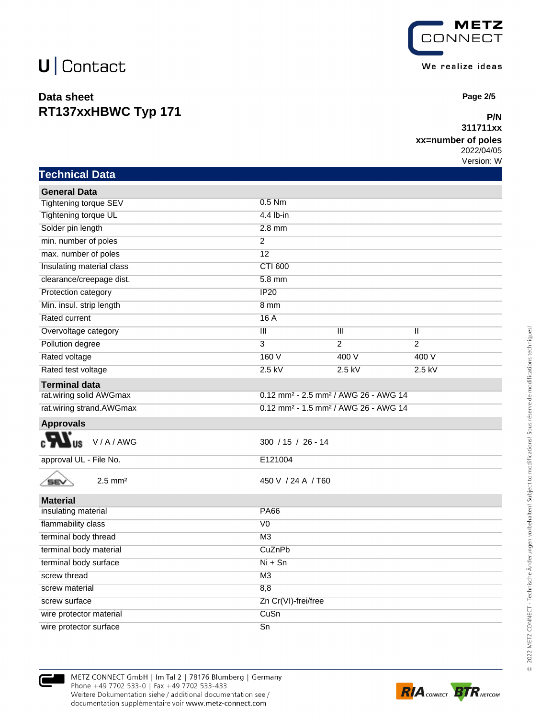## **Data sheet RT137xxHBWC Typ 171**



 **Page 2/5**

### **P/N 311711xx**

### **xx=number of poles**

2022/04/05 Version: W

| <b>Technical Data</b>        |                                                              |                         |                         |
|------------------------------|--------------------------------------------------------------|-------------------------|-------------------------|
| <b>General Data</b>          |                                                              |                         |                         |
| Tightening torque SEV        | $0.5$ Nm                                                     |                         |                         |
| Tightening torque UL         | 4.4 lb-in                                                    |                         |                         |
| Solder pin length            | $2.8$ mm                                                     |                         |                         |
| min. number of poles         | $\overline{2}$                                               |                         |                         |
| max. number of poles         | $\overline{12}$                                              |                         |                         |
| Insulating material class    | <b>CTI 600</b>                                               |                         |                         |
| clearance/creepage dist.     | $5.8$ mm                                                     |                         |                         |
| Protection category          | IP20                                                         |                         |                         |
| Min. insul. strip length     | 8 mm                                                         |                         |                         |
| Rated current                | 16A                                                          |                         |                         |
| Overvoltage category         | $\overline{\mathbf{III}}$                                    | $\overline{\mathbb{H}}$ | $\overline{\mathbb{I}}$ |
| Pollution degree             | $\overline{3}$                                               | $\overline{2}$          | $\overline{2}$          |
| Rated voltage                | 160 V                                                        | 400 V                   | 400 V                   |
| Rated test voltage           | $2.5$ kV                                                     | $2.5$ kV                | $2.5$ kV                |
| <b>Terminal data</b>         |                                                              |                         |                         |
| rat.wiring solid AWGmax      | 0.12 mm <sup>2</sup> - 2.5 mm <sup>2</sup> / AWG 26 - AWG 14 |                         |                         |
| rat.wiring strand.AWGmax     | 0.12 mm <sup>2</sup> - 1.5 mm <sup>2</sup> / AWG 26 - AWG 14 |                         |                         |
| <b>Approvals</b>             |                                                              |                         |                         |
| V/A/AWG<br><b>US</b>         | $300 / 15 / 26 - 14$                                         |                         |                         |
| approval UL - File No.       | E121004                                                      |                         |                         |
| $2.5$ mm <sup>2</sup><br>SEV | 450 V / 24 A / T60                                           |                         |                         |
| <b>Material</b>              |                                                              |                         |                         |
| insulating material          | <b>PA66</b>                                                  |                         |                         |
| flammability class           | $\overline{V}$                                               |                         |                         |
| terminal body thread         | M <sub>3</sub>                                               |                         |                         |
| terminal body material       | CuZnPb                                                       |                         |                         |
| terminal body surface        | $Ni + Sn$                                                    |                         |                         |
| screw thread                 | M3                                                           |                         |                         |
| screw material               | 8,8                                                          |                         |                         |
| screw surface                | Zn Cr(VI)-frei/free                                          |                         |                         |
| wire protector material      | CuSn                                                         |                         |                         |



wire protector surface Sn

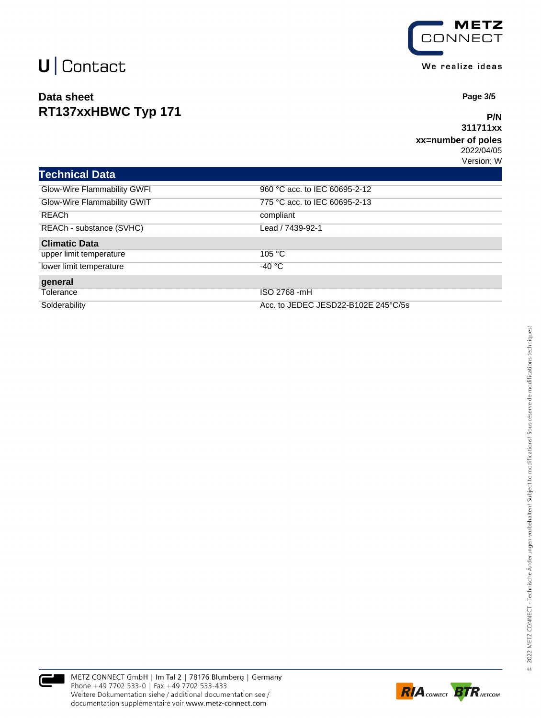## **Data sheet RT137xxHBWC Typ 171**



 **Page 3/5**

### **P/N 311711xx**

#### **xx=number of poles** 2022/04/05

Version: W

| <b>Technical Data</b>       |                                     |
|-----------------------------|-------------------------------------|
| Glow-Wire Flammability GWFI | 960 °C acc. to IEC 60695-2-12       |
| Glow-Wire Flammability GWIT | 775 °C acc. to IEC 60695-2-13       |
| <b>REACh</b>                | compliant                           |
| REACh - substance (SVHC)    | Lead / 7439-92-1                    |
| <b>Climatic Data</b>        |                                     |
| upper limit temperature     | 105 °C                              |
| lower limit temperature     | -40 °C                              |
| general                     |                                     |
| Tolerance                   | ISO 2768 -mH                        |
| Solderability               | Acc. to JEDEC JESD22-B102E 245°C/5s |



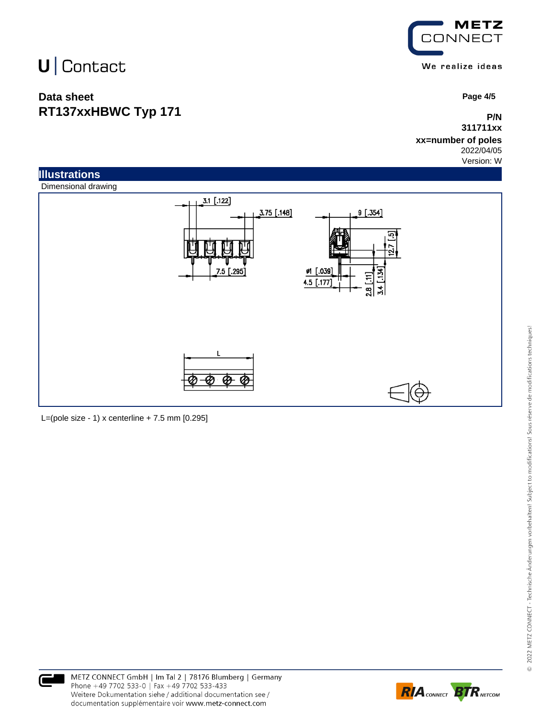## **Data sheet RT137xxHBWC Typ 171**



 **Page 4/5**

### **P/N 311711xx**

#### **xx=number of poles** 2022/04/05

Version: W



L=(pole size - 1) x centerline  $+ 7.5$  mm  $[0.295]$